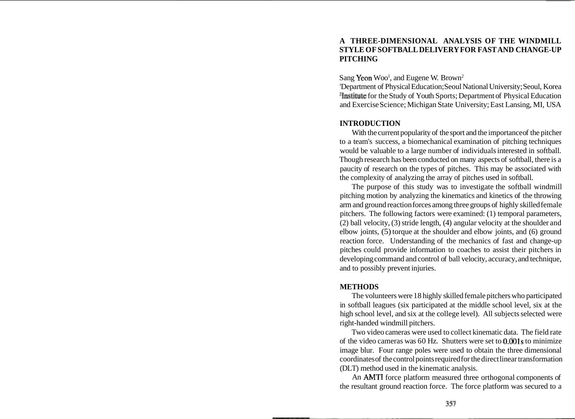# **A THREE-DIMENSIONAL ANALYSIS OF THE WINDMILL STYLE OF SOFTBALL DELIVERY FOR FAST AND CHANGE-UP PITCHING**

Sang **Yeon** Woo<sup>1</sup>, and Eugene W. Brown<sup>2</sup>

'Department of Physical Education; Seoul National University; Seoul, Korea 21nstitute for the Study of Youth Sports; Department of Physical Education and Exercise Science; Michigan State University; East Lansing, MI, USA

# **INTRODUCTION**

With the current popularity of the sport and the importance of the pitcher to a team's success, a biomechanical examination of pitching techniques would be valuable to a large number of individuals interested in softball. Though research has been conducted on many aspects of softball, there is a paucity of research on the types of pitches. This may be associated with the complexity of analyzing the array of pitches used in softball.

The purpose of this study was to investigate the softball windmill pitching motion by analyzing the kinematics and kinetics of the throwing arm and ground reaction forces among three groups of highly skilled female pitchers. The following factors were examined: (1) temporal parameters, (2) ball velocity, (3) stride length, (4) angular velocity at the shoulder and elbow joints, (5) torque at the shoulder and elbow joints, and (6) ground reaction force. Understanding of the mechanics of fast and change-up pitches could provide information to coaches to assist their pitchers in developing command and control of ball velocity, accuracy, and technique, and to possibly prevent injuries.

# **METHODS**

The volunteers were 18 highly skilled female pitchers who participated in softball leagues (six participated at the middle school level, six at the high school level, and six at the college level). All subjects selected were right-handed windmill pitchers.

Two video cameras were used to collect kinematic data. The field rate of the video cameras was  $60$  Hz. Shutters were set to  $0.001$ s to minimize image blur. Four range poles were used to obtain the three dimensional coordinates of the control points required for the direct linear transformation (DLT) method used in the kinematic analysis.

An AMTI force platform measured three orthogonal components of the resultant ground reaction force. The force platform was secured to a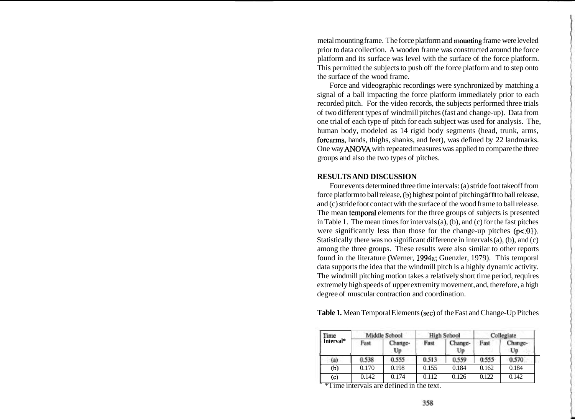metal mounting frame. The force platform and mounting frame were leveled prior to data collection. A wooden frame was constructed around the force platform and its surface was level with the surface of the force platform. This permitted the subjects to push off the force platform and to step onto the surface of the wood frame.

Force and videographic recordings were synchronized by matching a signal of a ball impacting the force platform immediately prior to each recorded pitch. For the video records, the subjects performed three trials of two different types of windmill pitches (fast and change-up). Data from one trial of each type of pitch for each subject was used for analysis. The, human body, modeled as 14 rigid body segments (head, trunk, arms, forearms, hands, thighs, shanks, and feet), was defined by 22 landmarks. One way ANOVA with repeated measures was applied to compare the three groups and also the two types of pitches.

## **RESULTS AND DISCUSSION**

Four events determined three time intervals: (a) stride foot takeoff from force platform to ball release, (b) highest point of pitching arm to ball release, and (c) stride foot contact with the surface of the wood frame to ball release. The mean temporal elements for the three groups of subjects is presented in Table 1. The mean times for intervals (a), (b), and (c) for the fast pitches were significantly less than those for the change-up pitches  $(p<0.01)$ . Statistically there was no significant difference in intervals (a), (b), and (c) among the three groups. These results were also similar to other reports found in the literature (Werner, 1994a; Guenzler, 1979). This temporal data supports the idea that the windmill pitch is a highly dynamic activity. The windmill pitching motion takes a relatively short time period, requires extremely high speeds of upper extremity movement, and, therefore, a high degree of muscular contraction and coordination. austicary there was no significant difference in interval<br>mong the three groups. These results were also simila<br>und in the literature (Werner, 1994a; Guenzler, 1979)<br>ta supports the idea that the windmill pitch is a highly

| Table 1. Mean Temporal Elements (sec) of the Fast and Change-Up Pitches |  |  |
|-------------------------------------------------------------------------|--|--|
|-------------------------------------------------------------------------|--|--|

| <b>Time</b><br>Interval* | Middle School |               | <b>High School</b> |               | Collegiate |               |
|--------------------------|---------------|---------------|--------------------|---------------|------------|---------------|
|                          | Fast          | Change-<br>Up | Fust               | Change-<br>Up | Fast       | Change-<br>Up |
| (a)                      | 0.538         | 0.555         | 0.513              | 0.559         | 0.555      | 0.570         |
| (b)                      | 0.170         | 0.198         | 0.155              | 0.184         | 0.162      | 0.184         |
| (c)                      | 0.142         | 0.174         | 0.112              | 0.126         | 0.122      | 0.142         |

\*Time intervals are defined in the text.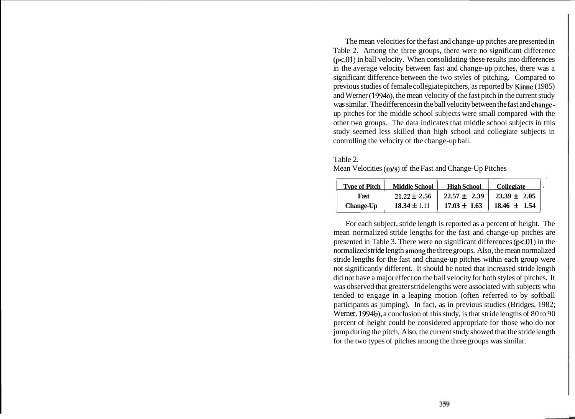The mean velocities for the fast and change-up pitches are presented in Table 2. Among the three groups, there were no significant difference  $(p<.01)$  in ball velocity. When consolidating these results into differences in the average velocity between fast and change-up pitches, there was a significant difference between the two styles of pitching. Compared to previous studies of female collegiate pitchers, as reported by Kinne (1985) and Werner (1994a), the mean velocity of the fast pitch in the current study was similar. The differences in the ball velocity between the fast and changeup pitches for the middle school subjects were small compared with the other two groups. The data indicates that middle school subjects in this study seemed less skilled than high school and collegiate subjects in controlling the velocity of the change-up ball.

Table 2. Mean Velocities (m/s) of the Fast and Change-Up Pitches

| <b>Type of Pitch</b> | <b>Middle School</b> | <b>High School</b> | <b>Collegiate</b> |
|----------------------|----------------------|--------------------|-------------------|
| Fast                 | $21.22 \pm 2.56$     | $22.57 \pm 2.39$   | $23.39 \pm 2.05$  |
| <b>Change-Up</b>     | $18.34 \pm 1.11$     | $17.03 \pm 1.63$   | $18.46 \pm 1.54$  |

For each subject, stride length is reported as a percent of height. The mean normalized stride lengths for the fast and change-up pitches are presented in Table 3. There were no significant differences  $(p<01)$  in the normalized stride length among the three groups. Also, the mean normalized stride lengths for the fast and change-up pitches within each group were not significantly different. It should be noted that increased stride length did not have a major effect on the ball velocity for both styles of pitches. It was observed that greater stride lengths were associated with subjects who tended to engage in a leaping motion (often referred to by softball participants as jumping). In fact, as in previous studies (Bridges, 1982; Werner, 1994b), a conclusion of this study, is that stride lengths of 80 to 90 percent of height could be considered appropriate for those who do not jump during the pitch, Also, the current study showed that the stride length for the two types of pitches among the three groups was similar.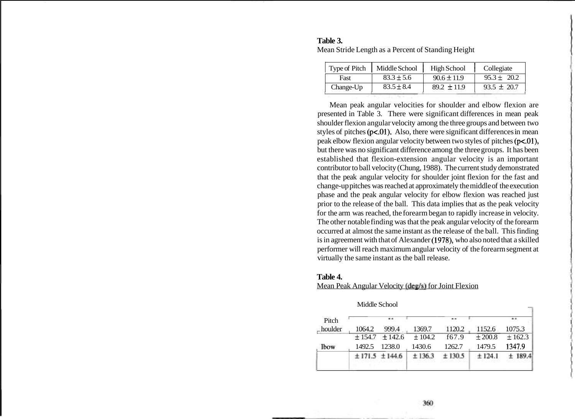|           | Type of Pitch   Middle School | High School     | Collegiate      |
|-----------|-------------------------------|-----------------|-----------------|
| Fast      | $83.3 \pm 5.6$                | $90.6 \pm 11.9$ | $95.3 \pm 20.2$ |
| Change-Up | $83.5 \pm 8.4$                | $89.2 \pm 11.9$ | $93.5 \pm 20.7$ |

## **Table 3.**  Mean Stride Length as a Percent of Standing Height

Mean peak angular velocities for shoulder and elbow flexion are presented in Table 3. There were significant differences in mean peak shoulder flexion angular velocity among the three groups and between two styles of pitches  $(p<0.01)$ . Also, there were significant differences in mean peak elbow flexion angular velocity between two styles of pitches (p<.01), but there was no significant difference among the three groups. It has been established that flexion-extension angular velocity is an important contributor to ball velocity (Chung, 1988). The current study demonstrated that the peak angular velocity for shoulder joint flexion for the fast and change-up pitches was reached at approximately the middle of the execution phase and the peak angular velocity for elbow flexion was reached just prior to the release of the ball. This data implies that as the peak velocity for the arm was reached, the forearm began to rapidly increase in velocity. The other notable finding was that the peak angular velocity of the forearm occurred at almost the same instant as the release of the ball. This finding is in agreement with that of Alexander (1978), who also noted that a skilled performer will reach maximum angular velocity of the forearm segment at virtually the same instant as the ball release.

#### **Table 4.**

|  | Mean Peak Angular Velocity (deg/s) for Joint Flexion |
|--|------------------------------------------------------|
|  |                                                      |

|        |       |                        |                                     |             | <b>181.00</b> |
|--------|-------|------------------------|-------------------------------------|-------------|---------------|
| 1064.2 | 999.4 | 1369.7                 | 1120.2                              | 1152.6      | 1075.3        |
|        |       |                        | f67.9                               | $\pm 200.8$ | $\pm 162.3$   |
| 1492.5 |       | 1430.6                 | 1262.7                              | 1479.5      | 1347.9        |
|        |       | ±136.3                 | ±130.5                              | ± 124.1     |               |
|        |       | 1238.0<br>±171.5±144.6 | $\pm$ 154.7 $\pm$ 142.6 $\pm$ 104.2 |             |               |

Middle School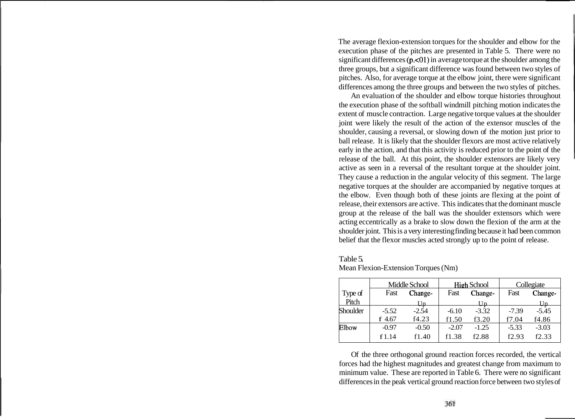The average flexion-extension torques for the shoulder and elbow for the execution phase of the pitches are presented in Table 5. There were no significant differences  $(p, 01)$  in average torque at the shoulder among the three groups, but a significant difference was found between two styles of pitches. Also, for average torque at the elbow joint, there were significant differences among the three groups and between the two styles of pitches.

An evaluation of the shoulder and elbow torque histories throughout the execution phase of the softball windmill pitching motion indicates the extent of muscle contraction. Large negative torque values at the shoulder joint were likely the result of the action of the extensor muscles of the shoulder, causing a reversal, or slowing down of the motion just prior to ball release. It is likely that the shoulder flexors are most active relatively early in the action, and that this activity is reduced prior to the point of the release of the ball. At this point, the shoulder extensors are likely very active as seen in a reversal of the resultant torque at the shoulder joint. They cause a reduction in the angular velocity of this segment. The large negative torques at the shoulder are accompanied by negative torques at the elbow. Even though both of these joints are flexing at the point of release, their extensors are active. This indicates that the dominant muscle group at the release of the ball was the shoulder extensors which were acting eccentrically as a brake to slow down the flexion of the arm at the shoulder joint. This is a very interesting finding because it had been common belief that the flexor muscles acted strongly up to the point of release.

## Table 5.

|          |         | Middle School |         | <b>High School</b> |         | Collegiate |
|----------|---------|---------------|---------|--------------------|---------|------------|
| Type of  | Fast    | Change-       | Fast    | Change-            | Fast    | Change-    |
| Pitch    |         | Uр            |         | Uр                 |         | Uр         |
| Shoulder | $-5.52$ | $-2.54$       | $-6.10$ | $-3.32$            | $-7.39$ | $-5.45$    |
|          | f 4.67  | f4.23         | f1.50   | f3.20              | f7.04   | f4.86      |
| Elbow    | $-0.97$ | $-0.50$       | $-2.07$ | $-1.25$            | $-5.33$ | $-3.03$    |
|          | f1.14   | f1.40         | f1.38   | f2.88              | f2.93   | f2.33      |

Mean Flexion-Extension Torques (Nm)

Of the three orthogonal ground reaction forces recorded, the vertical forces had the highest magnitudes and greatest change from maximum to minimum value. These are reported in Table 6. There were no significant differences in the peak vertical ground reaction force between two styles of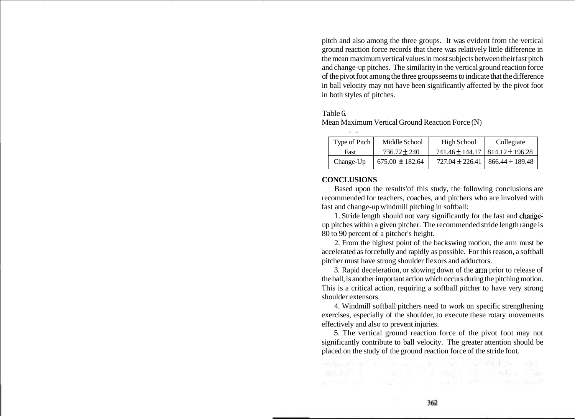pitch and also among the three groups. It was evident from the vertical ground reaction force records that there was relatively little difference in the mean maximum vertical values in most subjects between their fast pitch and change-up pitches. The similarity in the vertical ground reaction force of the pivot foot among the three groups seems to indicate that the difference in ball velocity may not have been significantly affected by the pivot foot in both styles of pitches.

### Table 6.

Mean Maximum Vertical Ground Reaction Force (N)

| Type of Pitch | Middle School       | High School                               | Collegiate                            |
|---------------|---------------------|-------------------------------------------|---------------------------------------|
| Fast          | $736.72 \pm 240$    | $741.46 \pm 144.17$   814.12 $\pm$ 196.28 |                                       |
| Change-Up     | $675.00 \pm 182.64$ |                                           | $727.04 \pm 226.41$   866.44 ± 189.48 |

# **CONCLUSIONS**

~,

Based upon the results'of this study, the following conclusions are recommended for teachers, coaches, and pitchers who are involved with fast and change-up windmill pitching in softball:

1. Stride length should not vary significantly for the fast and changeup pitches within a given pitcher. The recommended stride length range is 80 to 90 percent of a pitcher's height.

2. From the highest point of the backswing motion, the arm must be accelerated as forcefully and rapidly as possible. For this reason, a softball pitcher must have strong shoulder flexors and adductors.

3. Rapid deceleration, or slowing down of the arm prior to release of the ball, is another important action which occurs during the pitching motion. This is a critical action, requiring a softball pitcher to have very strong shoulder extensors.

4. Windmill softball pitchers need to work on specific strengthening exercises, especially of the shoulder, to execute these rotary movements effectively and also to prevent injuries.

5. The vertical ground reaction force of the pivot foot may not significantly contribute to ball velocity. The greater attention should be placed on the study of the ground reaction force of the stride foot.

「田内の大学家」「バーディー」」「コード」「G」「「マーディオ」」、「SWS

aritat and contains a continuity of the standard

The second content of the state of the